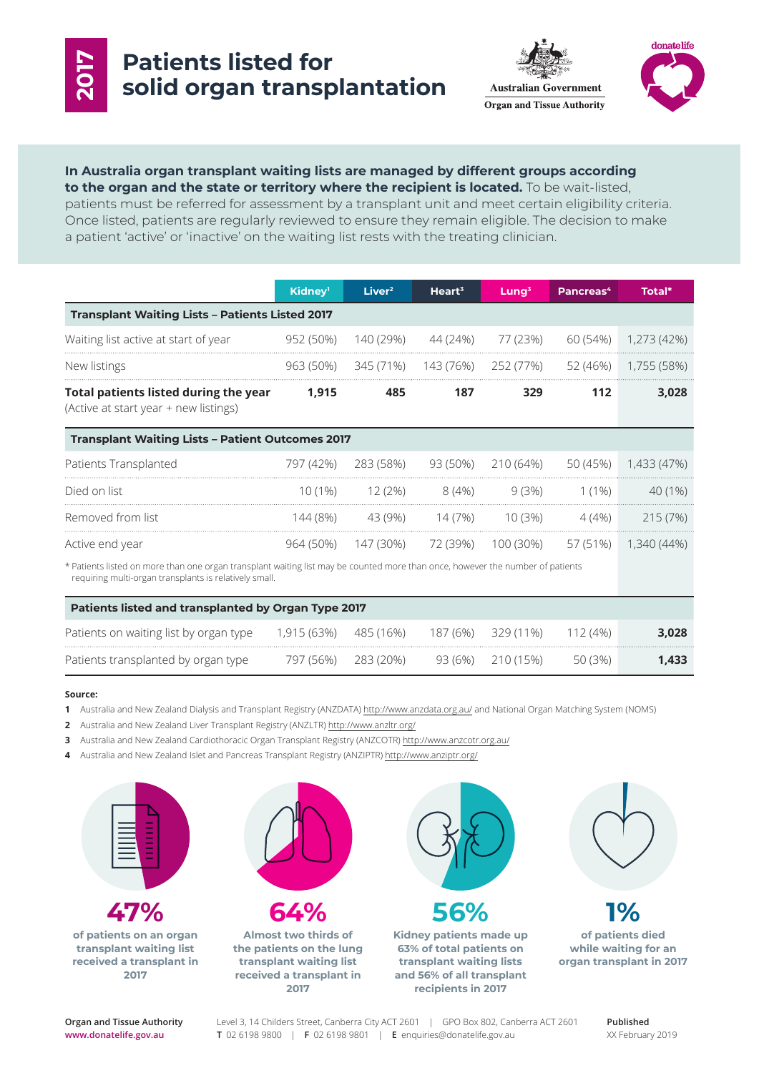

# **Patients listed for solid organ transplantation**





### **In Australia organ transplant waiting lists are managed by different groups according to the organ and the state or territory where the recipient is located.** To be wait-listed, patients must be referred for assessment by a transplant unit and meet certain eligibility criteria.

Once listed, patients are regularly reviewed to ensure they remain eligible. The decision to make a patient 'active' or 'inactive' on the waiting list rests with the treating clinician.

|                                                                                                                                                                                          | Kidney <sup>1</sup> | Liver <sup>2</sup> | Heart <sup>3</sup> | $L$ ung <sup>3</sup> | Pancreas <sup>4</sup> | Total*      |
|------------------------------------------------------------------------------------------------------------------------------------------------------------------------------------------|---------------------|--------------------|--------------------|----------------------|-----------------------|-------------|
| <b>Transplant Waiting Lists - Patients Listed 2017</b>                                                                                                                                   |                     |                    |                    |                      |                       |             |
| Waiting list active at start of year                                                                                                                                                     | 952 (50%)           | 140 (29%)          | 44 (24%)           | 77 (23%)             | 60 (54%)              | 1,273 (42%) |
| New listings                                                                                                                                                                             | 963 (50%)           | 345 (71%)          | 143 (76%)          | 252 (77%)            | 52 (46%)              | 1,755 (58%) |
| Total patients listed during the year<br>(Active at start year + new listings)                                                                                                           | 1,915               | 485                | 187                | 329                  | 112                   | 3,028       |
| <b>Transplant Waiting Lists - Patient Outcomes 2017</b>                                                                                                                                  |                     |                    |                    |                      |                       |             |
| Patients Transplanted                                                                                                                                                                    | 797 (42%)           | 283 (58%)          | 93 (50%)           | 210 (64%)            | 50 (45%)              | 1,433 (47%) |
| Died on list                                                                                                                                                                             | $10(1\%)$           | 12(2%)             | 8(4%)              | 9(3%)                | $1(1\%)$              | 40 (1%)     |
| Removed from list                                                                                                                                                                        | 144 (8%)            | 43 (9%)            | 14 (7%)            | 10(3%)               | 4 (4%)                | 215 (7%)    |
| Active end year                                                                                                                                                                          | 964 (50%)           | 147 (30%)          | 72 (39%)           | 100 (30%)            | 57 (51%)              | 1,340 (44%) |
| * Patients listed on more than one organ transplant waiting list may be counted more than once, however the number of patients<br>requiring multi-organ transplants is relatively small. |                     |                    |                    |                      |                       |             |
| <b>Patients listed and transplanted by Organ Type 2017</b>                                                                                                                               |                     |                    |                    |                      |                       |             |
| Patients on waiting list by organ type                                                                                                                                                   | 1,915 (63%)         | 485 (16%)          | 187 (6%)           | 329 (11%)            | 112(4%)               | 3,028       |
| Patients transplanted by organ type                                                                                                                                                      | 797 (56%)           | 283 (20%)          | 93 (6%)            | 210 (15%)            | 50 (3%)               | 1,433       |

#### **Source:**

- **1** Australia and New Zealand Dialysis and Transplant Registry (ANZDATA) http://www.anzdata.org.au/ and National Organ Matching System (NOMS)
- **2** Australia and New Zealand Liver Transplant Registry (ANZLTR) http://www.anzltr.org/
- **3** Australia and New Zealand Cardiothoracic Organ Transplant Registry (ANZCOTR) http://www.anzcotr.org.au/
- **4** Australia and New Zealand Islet and Pancreas Transplant Registry (ANZIPTR) http://www.anziptr.org/



**47% of patients on an organ transplant waiting list received a transplant in** 

**2017**

**64% Almost two thirds of the patients on the lung transplant waiting list received a transplant in 2017**



**Kidney patients made up 63% of total patients on transplant waiting lists and 56% of all transplant recipients in 2017**



**of patients died while waiting for an organ transplant in 2017**

**Organ and Tissue Authority www.donatelife.gov.au**

Level 3, 14 Childers Street, Canberra City ACT 2601 | GPO Box 802, Canberra ACT 2601 **T** 02 6198 9800 | **F** 02 6198 9801 | **E** enquiries@donatelife.gov.au